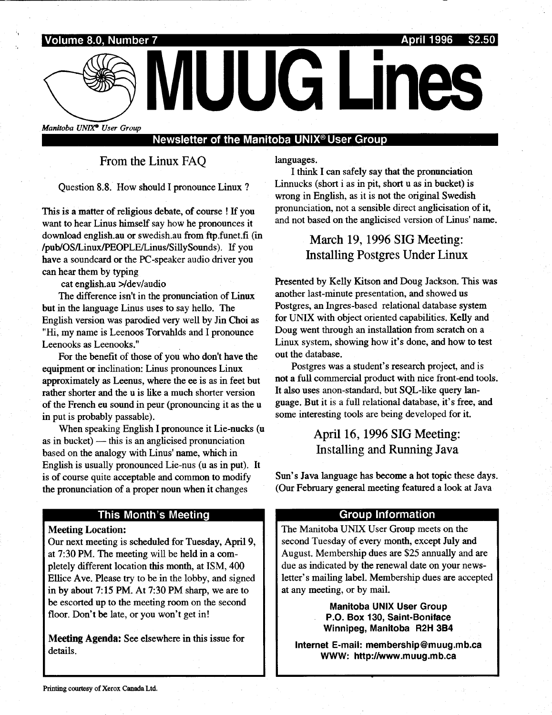

## Newsletter of the Manitoba UNIX° User Group

From the Linux FAQ

Question 8.8 . How should I pronounce Linux ?

This is a matter of religious debate, of course ! If you want to hear Linus himself say how he pronounces it download english .au or swedish .au from ftp funet fi (in /pub/OS/Linux/PEOPLE/Linus/SillySounds) . If you have a soundcard or the PC-speaker audio driver you can hear them by typing

cat english.au >/dev/audio

The difference isn't in the pronunciation of Linux but in the language Linus uses to say hello. The English version was parodied very well by Jin Choi as "Hi, my name is Leenoos Torvahlds and I pronounce Leenooks as Leenooks ."

For the benefit of those of you who don't have the equipment or inclination: Linus pronounces Linux approximately as Leenus, where the ee is as in feet but rather shorter and the u is like a much shorter version of the French eu sound in peur (pronouncing it as the u in put is probably passable) .

When speaking English I pronounce it Lie-nucks (u as in bucket)  $-$  this is an anglicised pronunciation based on the analogy with Linus' name, which in English is usually pronounced Lie-nus (u as in put). It is of course quite acceptable and common to modify the pronunciation of a proper noun when it changes

### This Month's Meeting

**Meeting Location:** 

Our next meeting is scheduled for Tuesday, April 9, at 7:30 PM. The meeting will be held in a completely different location this month, at ISM, 400 Ellice Ave. Please try to be in the lobby, and signed in by about 7:15 PM. At 7:30 PM sharp, we are to be escorted up to the meeting room on the second floor. Don't be late, or you won't get in!

Meeting Agenda: See elsewhere in this issue for details.

languages.

I think I can safely say that the pronunciation Linnucks (short i as in pit, short u as in bucket) is wrong in English, as it is not the original Swedish pronunciation, not a sensible direct anglicisation of it, and not based on the anglicised version of Linus' name .

## March 19, 1996 SIG Meeting: Installing Postgres Under Linux

Presented by Kelly Kitson and Doug Jackson. This was another last-minute presentation, and showed us Postgres, an Ingres-based relational database system for UNIX with object oriented capabilities . Kelly and Doug went through an installation from scratch on a Linux system, showing how it's done, and how to test out the database.

Postgres was a student's research project, and is not a full commercial product with nice front-end tools . It also uses anon-standard, but SQL-like query language. But it is a full relational database, it's free, and some interesting tools are being developed for it.

# April 16, 1996 SIG Meeting: Installing and Running Java

Sun's Java language has become a hot topic these days . (Our February general meeting featured a look at Java

#### Group Information

The Manitoba UNIX User Group meets on the second Tuesday of every month, except July and August. Membership dues are \$25 annually and are due as indicated by the renewal date on your newsletter's mailing label. Membership dues are accepted at any meeting, or by mail.

> Manitoba UNIX User Group P.O. Box 130, Saint-Boniface Winnipeg, Manitoba R2H 3B4

Internet E-mail: membership@muug.mb.ca WWW: http://www .muug .mb.ca